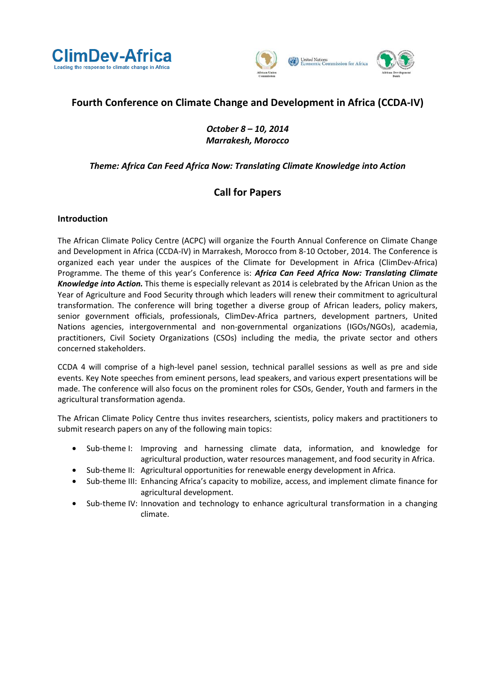



# **Fourth Conference on Climate Change and Development in Africa (CCDA-IV)**

## *October 8 – 10, 2014 Marrakesh, Morocco*

## *Theme: Africa Can Feed Africa Now: Translating Climate Knowledge into Action*

## **Call for Papers**

### **Introduction**

The African Climate Policy Centre (ACPC) will organize the Fourth Annual Conference on Climate Change and Development in Africa (CCDA-IV) in Marrakesh, Morocco from 8-10 October, 2014. The Conference is organized each year under the auspices of the Climate for Development in Africa (ClimDev-Africa) Programme. The theme of this year's Conference is: *Africa Can Feed Africa Now: Translating Climate Knowledge into Action.* This theme is especially relevant as 2014 is celebrated by the African Union as the Year of Agriculture and Food Security through which leaders will renew their commitment to agricultural transformation. The conference will bring together a diverse group of African leaders, policy makers, senior government officials, professionals, ClimDev-Africa partners, development partners, United Nations agencies, intergovernmental and non-governmental organizations (IGOs/NGOs), academia, practitioners, Civil Society Organizations (CSOs) including the media, the private sector and others concerned stakeholders.

CCDA 4 will comprise of a high-level panel session, technical parallel sessions as well as pre and side events. Key Note speeches from eminent persons, lead speakers, and various expert presentations will be made. The conference will also focus on the prominent roles for CSOs, Gender, Youth and farmers in the agricultural transformation agenda.

The African Climate Policy Centre thus invites researchers, scientists, policy makers and practitioners to submit research papers on any of the following main topics:

- Sub-theme I: Improving and harnessing climate data, information, and knowledge for agricultural production, water resources management, and food security in Africa.
- Sub-theme II: Agricultural opportunities for renewable energy development in Africa.
- Sub-theme III: Enhancing Africa's capacity to mobilize, access, and implement climate finance for agricultural development.
- Sub-theme IV: Innovation and technology to enhance agricultural transformation in a changing climate.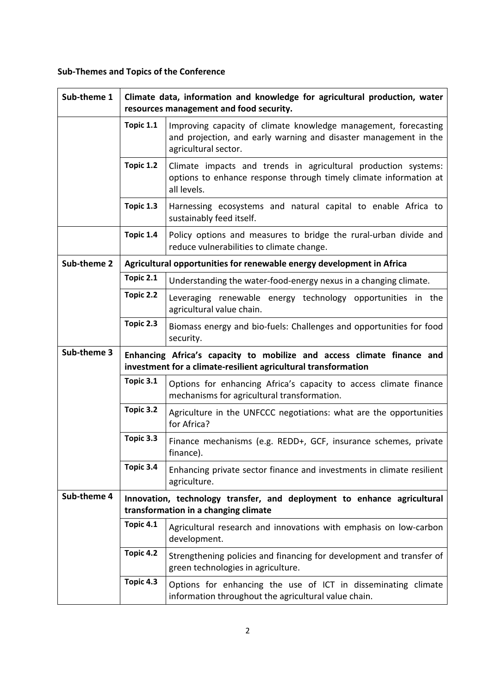# **Sub-Themes and Topics of the Conference**

| Sub-theme 1 | Climate data, information and knowledge for agricultural production, water<br>resources management and food security.                    |                                                                                                                                                             |
|-------------|------------------------------------------------------------------------------------------------------------------------------------------|-------------------------------------------------------------------------------------------------------------------------------------------------------------|
|             | Topic 1.1                                                                                                                                | Improving capacity of climate knowledge management, forecasting<br>and projection, and early warning and disaster management in the<br>agricultural sector. |
|             | Topic 1.2                                                                                                                                | Climate impacts and trends in agricultural production systems:<br>options to enhance response through timely climate information at<br>all levels.          |
|             | Topic 1.3                                                                                                                                | Harnessing ecosystems and natural capital to enable Africa to<br>sustainably feed itself.                                                                   |
|             | Topic 1.4                                                                                                                                | Policy options and measures to bridge the rural-urban divide and<br>reduce vulnerabilities to climate change.                                               |
| Sub-theme 2 | Agricultural opportunities for renewable energy development in Africa                                                                    |                                                                                                                                                             |
|             | Topic 2.1                                                                                                                                | Understanding the water-food-energy nexus in a changing climate.                                                                                            |
|             | Topic 2.2                                                                                                                                | Leveraging renewable energy technology opportunities in the<br>agricultural value chain.                                                                    |
|             | Topic 2.3                                                                                                                                | Biomass energy and bio-fuels: Challenges and opportunities for food<br>security.                                                                            |
| Sub-theme 3 | Enhancing Africa's capacity to mobilize and access climate finance and<br>investment for a climate-resilient agricultural transformation |                                                                                                                                                             |
|             | Topic 3.1                                                                                                                                | Options for enhancing Africa's capacity to access climate finance<br>mechanisms for agricultural transformation.                                            |
|             | Topic 3.2                                                                                                                                | Agriculture in the UNFCCC negotiations: what are the opportunities<br>for Africa?                                                                           |
|             | Topic 3.3                                                                                                                                | Finance mechanisms (e.g. REDD+, GCF, insurance schemes, private<br>finance).                                                                                |
|             | Topic 3.4                                                                                                                                | Enhancing private sector finance and investments in climate resilient<br>agriculture.                                                                       |
| Sub-theme 4 | Innovation, technology transfer, and deployment to enhance agricultural<br>transformation in a changing climate                          |                                                                                                                                                             |
|             | Topic 4.1                                                                                                                                | Agricultural research and innovations with emphasis on low-carbon<br>development.                                                                           |
|             | Topic 4.2                                                                                                                                | Strengthening policies and financing for development and transfer of<br>green technologies in agriculture.                                                  |
|             | Topic 4.3                                                                                                                                | Options for enhancing the use of ICT in disseminating climate<br>information throughout the agricultural value chain.                                       |